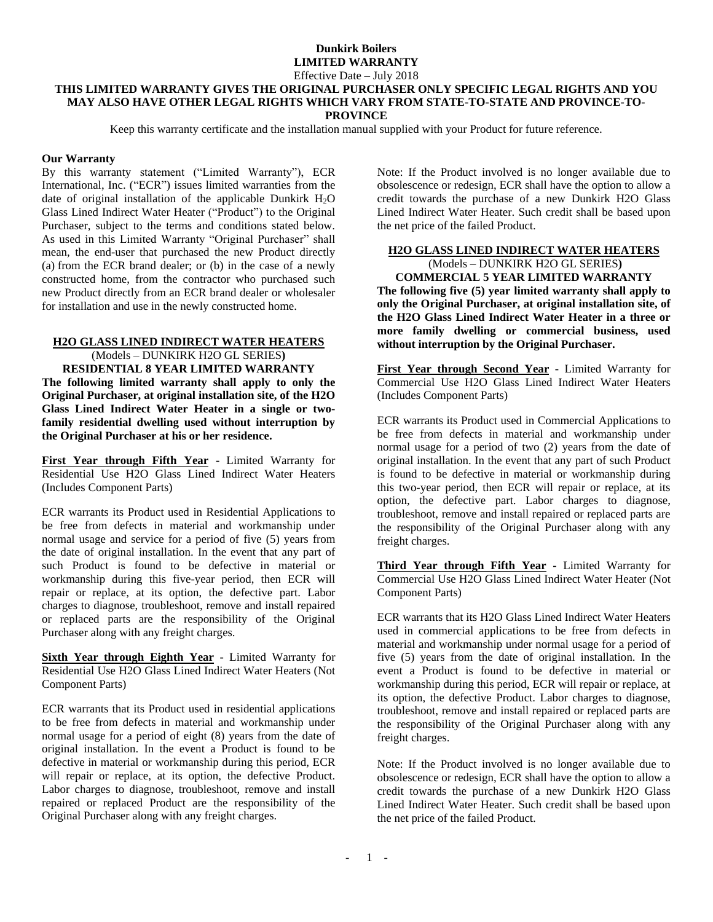## **Dunkirk Boilers LIMITED WARRANTY**

Effective Date – July 2018

#### **THIS LIMITED WARRANTY GIVES THE ORIGINAL PURCHASER ONLY SPECIFIC LEGAL RIGHTS AND YOU MAY ALSO HAVE OTHER LEGAL RIGHTS WHICH VARY FROM STATE-TO-STATE AND PROVINCE-TO-PROVINCE**

Keep this warranty certificate and the installation manual supplied with your Product for future reference.

### **Our Warranty**

By this warranty statement ("Limited Warranty"), ECR International, Inc. ("ECR") issues limited warranties from the date of original installation of the applicable Dunkirk  $H_2O$ Glass Lined Indirect Water Heater ("Product") to the Original Purchaser, subject to the terms and conditions stated below. As used in this Limited Warranty "Original Purchaser" shall mean, the end-user that purchased the new Product directly (a) from the ECR brand dealer; or (b) in the case of a newly constructed home, from the contractor who purchased such new Product directly from an ECR brand dealer or wholesaler for installation and use in the newly constructed home.

### **H2O GLASS LINED INDIRECT WATER HEATERS**

(Models – DUNKIRK H2O GL SERIES**) RESIDENTIAL 8 YEAR LIMITED WARRANTY The following limited warranty shall apply to only the Original Purchaser, at original installation site, of the H2O Glass Lined Indirect Water Heater in a single or twofamily residential dwelling used without interruption by the Original Purchaser at his or her residence.**

**First Year through Fifth Year -** Limited Warranty for Residential Use H2O Glass Lined Indirect Water Heaters (Includes Component Parts)

ECR warrants its Product used in Residential Applications to be free from defects in material and workmanship under normal usage and service for a period of five (5) years from the date of original installation. In the event that any part of such Product is found to be defective in material or workmanship during this five-year period, then ECR will repair or replace, at its option, the defective part. Labor charges to diagnose, troubleshoot, remove and install repaired or replaced parts are the responsibility of the Original Purchaser along with any freight charges.

**Sixth Year through Eighth Year -** Limited Warranty for Residential Use H2O Glass Lined Indirect Water Heaters (Not Component Parts)

ECR warrants that its Product used in residential applications to be free from defects in material and workmanship under normal usage for a period of eight (8) years from the date of original installation. In the event a Product is found to be defective in material or workmanship during this period, ECR will repair or replace, at its option, the defective Product. Labor charges to diagnose, troubleshoot, remove and install repaired or replaced Product are the responsibility of the Original Purchaser along with any freight charges.

Note: If the Product involved is no longer available due to obsolescence or redesign, ECR shall have the option to allow a credit towards the purchase of a new Dunkirk H2O Glass Lined Indirect Water Heater. Such credit shall be based upon the net price of the failed Product.

## **H2O GLASS LINED INDIRECT WATER HEATERS**  (Models – DUNKIRK H2O GL SERIES**)**

**COMMERCIAL 5 YEAR LIMITED WARRANTY The following five (5) year limited warranty shall apply to only the Original Purchaser, at original installation site, of the H2O Glass Lined Indirect Water Heater in a three or more family dwelling or commercial business, used without interruption by the Original Purchaser.**

**First Year through Second Year -** Limited Warranty for Commercial Use H2O Glass Lined Indirect Water Heaters (Includes Component Parts)

ECR warrants its Product used in Commercial Applications to be free from defects in material and workmanship under normal usage for a period of two (2) years from the date of original installation. In the event that any part of such Product is found to be defective in material or workmanship during this two-year period, then ECR will repair or replace, at its option, the defective part. Labor charges to diagnose, troubleshoot, remove and install repaired or replaced parts are the responsibility of the Original Purchaser along with any freight charges.

**Third Year through Fifth Year -** Limited Warranty for Commercial Use H2O Glass Lined Indirect Water Heater (Not Component Parts)

ECR warrants that its H2O Glass Lined Indirect Water Heaters used in commercial applications to be free from defects in material and workmanship under normal usage for a period of five (5) years from the date of original installation. In the event a Product is found to be defective in material or workmanship during this period, ECR will repair or replace, at its option, the defective Product. Labor charges to diagnose, troubleshoot, remove and install repaired or replaced parts are the responsibility of the Original Purchaser along with any freight charges.

Note: If the Product involved is no longer available due to obsolescence or redesign, ECR shall have the option to allow a credit towards the purchase of a new Dunkirk H2O Glass Lined Indirect Water Heater. Such credit shall be based upon the net price of the failed Product.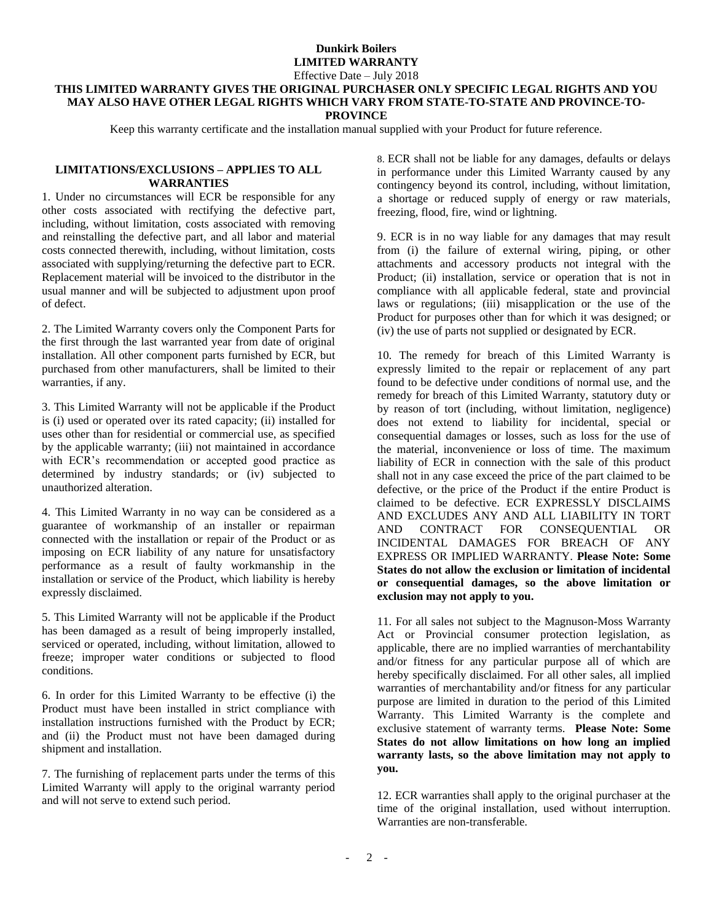# **Dunkirk Boilers LIMITED WARRANTY**

Effective Date – July 2018

#### **THIS LIMITED WARRANTY GIVES THE ORIGINAL PURCHASER ONLY SPECIFIC LEGAL RIGHTS AND YOU MAY ALSO HAVE OTHER LEGAL RIGHTS WHICH VARY FROM STATE-TO-STATE AND PROVINCE-TO-PROVINCE**

Keep this warranty certificate and the installation manual supplied with your Product for future reference.

## **LIMITATIONS/EXCLUSIONS – APPLIES TO ALL WARRANTIES**

1. Under no circumstances will ECR be responsible for any other costs associated with rectifying the defective part, including, without limitation, costs associated with removing and reinstalling the defective part, and all labor and material costs connected therewith, including, without limitation, costs associated with supplying/returning the defective part to ECR. Replacement material will be invoiced to the distributor in the usual manner and will be subjected to adjustment upon proof of defect.

2. The Limited Warranty covers only the Component Parts for the first through the last warranted year from date of original installation. All other component parts furnished by ECR, but purchased from other manufacturers, shall be limited to their warranties, if any.

3. This Limited Warranty will not be applicable if the Product is (i) used or operated over its rated capacity; (ii) installed for uses other than for residential or commercial use, as specified by the applicable warranty; (iii) not maintained in accordance with ECR's recommendation or accepted good practice as determined by industry standards; or (iv) subjected to unauthorized alteration.

4. This Limited Warranty in no way can be considered as a guarantee of workmanship of an installer or repairman connected with the installation or repair of the Product or as imposing on ECR liability of any nature for unsatisfactory performance as a result of faulty workmanship in the installation or service of the Product, which liability is hereby expressly disclaimed.

5. This Limited Warranty will not be applicable if the Product has been damaged as a result of being improperly installed, serviced or operated, including, without limitation, allowed to freeze; improper water conditions or subjected to flood conditions.

6. In order for this Limited Warranty to be effective (i) the Product must have been installed in strict compliance with installation instructions furnished with the Product by ECR; and (ii) the Product must not have been damaged during shipment and installation.

7. The furnishing of replacement parts under the terms of this Limited Warranty will apply to the original warranty period and will not serve to extend such period.

8. ECR shall not be liable for any damages, defaults or delays in performance under this Limited Warranty caused by any contingency beyond its control, including, without limitation, a shortage or reduced supply of energy or raw materials, freezing, flood, fire, wind or lightning.

9. ECR is in no way liable for any damages that may result from (i) the failure of external wiring, piping, or other attachments and accessory products not integral with the Product; (ii) installation, service or operation that is not in compliance with all applicable federal, state and provincial laws or regulations; (iii) misapplication or the use of the Product for purposes other than for which it was designed; or (iv) the use of parts not supplied or designated by ECR.

10. The remedy for breach of this Limited Warranty is expressly limited to the repair or replacement of any part found to be defective under conditions of normal use, and the remedy for breach of this Limited Warranty, statutory duty or by reason of tort (including, without limitation, negligence) does not extend to liability for incidental, special or consequential damages or losses, such as loss for the use of the material, inconvenience or loss of time. The maximum liability of ECR in connection with the sale of this product shall not in any case exceed the price of the part claimed to be defective, or the price of the Product if the entire Product is claimed to be defective. ECR EXPRESSLY DISCLAIMS AND EXCLUDES ANY AND ALL LIABILITY IN TORT AND CONTRACT FOR CONSEQUENTIAL OR INCIDENTAL DAMAGES FOR BREACH OF ANY EXPRESS OR IMPLIED WARRANTY. **Please Note: Some States do not allow the exclusion or limitation of incidental or consequential damages, so the above limitation or exclusion may not apply to you.**

11. For all sales not subject to the Magnuson-Moss Warranty Act or Provincial consumer protection legislation, as applicable, there are no implied warranties of merchantability and/or fitness for any particular purpose all of which are hereby specifically disclaimed. For all other sales, all implied warranties of merchantability and/or fitness for any particular purpose are limited in duration to the period of this Limited Warranty. This Limited Warranty is the complete and exclusive statement of warranty terms. **Please Note: Some States do not allow limitations on how long an implied warranty lasts, so the above limitation may not apply to you.**

12. ECR warranties shall apply to the original purchaser at the time of the original installation, used without interruption. Warranties are non-transferable.